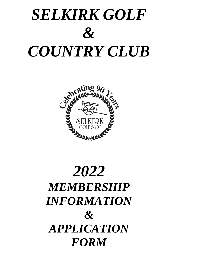# *SELKIRK GOLF & COUNTRY CLUB*



# *2022 MEMBERSHIP INFORMATION & APPLICATION FORM*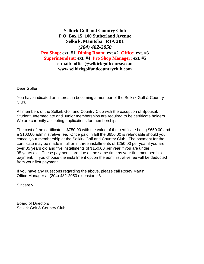### **Selkirk Golf and Country Club P.O. Box 15, 100 Sutherland Avenue Selkirk, Manitoba R1A 2B1** *(204) 482-2050* **Pro Shop: ext. #1 Dining Room: ext #2 Office: ext. #3 Superintendent: ext. #4 Pro Shop Manager: ext. #5 e-mail: office@selkirkgolfcourse.com www.selkirkgolfandcountryclub.com**

Dear Golfer:

You have indicated an interest in becoming a member of the Selkirk Golf & Country Club.

All members of the Selkirk Golf and Country Club with the exception of Spousal, Student, Intermediate and Junior memberships are required to be certificate holders. We are currently accepting applications for memberships.

The cost of the certificate is \$750.00 with the value of the certificate being \$650.00 and a \$100.00 administrative fee. Once paid in full the \$650.00 is refundable should you cancel your membership at the Selkirk Golf and Country Club. The payment for the certificate may be made in full or in three installments of \$250.00 per year if you are over 35 years old and five installments of \$150.00 per year if you are under 35 years old. These payments are due at the same time as your first membership payment. If you choose the installment option the administrative fee will be deducted from your first payment.

If you have any questions regarding the above, please call Rosey Martin, Office Manager at (204) 482-2050 extension #3

Sincerely,

Board of Directors Selkirk Golf & Country Club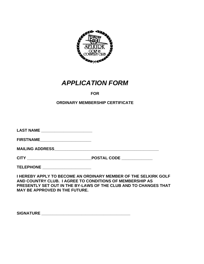

# *APPLICATION FORM*

# **FOR**

#### **ORDINARY MEMBERSHIP CERTIFICATE**

| LAST NAME _________________________ |                                                                                                                                                                                                 |
|-------------------------------------|-------------------------------------------------------------------------------------------------------------------------------------------------------------------------------------------------|
|                                     |                                                                                                                                                                                                 |
|                                     |                                                                                                                                                                                                 |
|                                     | POSTAL CODE ____________                                                                                                                                                                        |
| TELEPHONE _______________________   |                                                                                                                                                                                                 |
|                                     | I HEREBY APPLY TO BECOME AN ORDINARY MEMBER OF THE SELKIRK GOLF<br>AND COUNTRY CLUB. I AGREE TO CONDITIONS OF MEMBERSHIP AS<br>PRESENTLY SET OUT IN THE BY-LAWS OF THE CLUB AND TO CHANGES THAT |

**MAY BE APPROVED IN THE FUTURE.**

**SIGNATURE**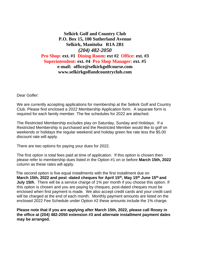## **Selkirk Golf and Country Club P.O. Box 15, 100 Sutherland Avenue Selkirk, Manitoba R1A 2B1** *(204) 482-2050* **Pro Shop: ext. #1 Dining Room: ext #2 Office: ext. #3 Superintendent: ext. #4 Pro Shop Manager: ext. #5 e-mail: office@selkirkgolfcourse.com www.selkirkgolfandcountryclub.com**

Dear Golfer:

We are currently accepting applications for membership at the Selkirk Golf and Country Club. Please find enclosed a 2022 Membership Application form. A separate form is required for each family member. The fee schedules for 2022 are attached.

The Restricted Membership excludes play on Saturday, Sunday and Holidays. If a Restricted Membership is purchased and the Restricted Member would like to golf on weekends or holidays the regular weekend and holiday green fee rate less the \$5.00 discount rate will apply.

There are two options for paying your dues for 2022.

The first option is total fees paid at time of application. If this option is chosen then please refer to membership dues listed in the Option #1 on or before **March 15th, 2022** column as these rates will apply.

 The second option is five equal installments with the first installment due on **March 15th, 2022 and post -dated cheques for April 15th, May 15th June 15th and July 15th**. There will be a service charge of 1% per month if you choose this option. If this option is chosen and you are paying by cheques, post-dated cheques must be enclosed when first payment is made. We also accept credit cards and your credit card will be charged at the end of each month. Monthly payment amounts are listed on the enclosed 2022 Fee Schedule under Option #2 these amounts include the 1% charge.

**Please note that if you are applying after March 15th, 2022, please call Rosey in the office at (204) 482-2050 extension #3 and alternate installment payment dates may be arranged.**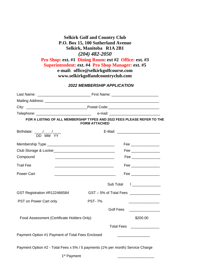# **Selkirk Golf and Country Club P.O. Box 15, 100 Sutherland Avenue Selkirk, Manitoba R1A 2B1** *(204) 482-2050*

**Pro Shop: ext. #1 Dining Room: ext #2 Office: ext. #3**

**Superintendent: ext. #4 Pro Shop Manager: ext. #5**

**e-mail: office@selkirkgolfcourse.com www.selkirkgolfandcountryclub.com**

#### *2022 MEMBERSHIP APPLICATION*

|                                               | FOR A LISTING OF ALL MEMBERSHIP TYPES AND 2022 FEES PLEASE REFER TO THE<br><b>FORM ATTACHED</b>                      |                                         |
|-----------------------------------------------|----------------------------------------------------------------------------------------------------------------------|-----------------------------------------|
| Birthdate: $\frac{1}{\text{DD} \text{MM}}$ YY |                                                                                                                      |                                         |
|                                               |                                                                                                                      | Fee ________________                    |
|                                               |                                                                                                                      | Fee _______________                     |
| Compound                                      |                                                                                                                      | Fee _______________                     |
| <b>Trail Fee</b>                              | <u> 1989 - Johann Barbara, martin amerikan basar dan berasal dalam basa dalam basa dalam basa dalam basa dalam b</u> | Fee _______________                     |
| <b>Power Cart</b>                             |                                                                                                                      | Fee ________________                    |
|                                               | Sub Total                                                                                                            |                                         |
| GST Registration #R122466584                  |                                                                                                                      | GST - 5% of Total Fees ________________ |
| PST on Power Cart only                        | <b>PST-7%</b>                                                                                                        |                                         |
|                                               | Golf Fees                                                                                                            |                                         |
|                                               | Food Assessment (Certificate Holders Only)                                                                           | \$200.00                                |
|                                               |                                                                                                                      | Total Fees<br><u> </u>                  |
|                                               | Payment Option #1 Payment of Total Fees Enclosed                                                                     |                                         |
|                                               | Payment Option #2 - Total Fees x 5% / 5 payments (1% per month) Service Charge                                       |                                         |
|                                               | 1 <sup>st</sup> Payment                                                                                              |                                         |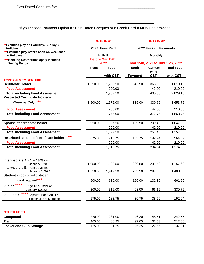\*If you choose Payment Option #3 Post Dated Cheques or a Credit Card # **MUST** be provided.

 $\overline{\phantom{a}}$ 

 $\overline{\phantom{a}}$  , and the contract of the contract of the contract of the contract of the contract of the contract of the contract of the contract of the contract of the contract of the contract of the contract of the contrac

 $\overline{\phantom{a}}$  , and the contract of the contract of the contract of the contract of the contract of the contract of the contract of the contract of the contract of the contract of the contract of the contract of the contrac

|                                                                 |             | <b>OPTION #1</b>         | <b>OPTION #2</b>                                                              |            |          |  |  |
|-----------------------------------------------------------------|-------------|--------------------------|-------------------------------------------------------------------------------|------------|----------|--|--|
| **Excludes play on Saturday, Sunday &                           |             |                          | 2022 Fees - 5 Payments<br><b>Monthly</b><br>Mar 15th, 2022 to July 15th, 2022 |            |          |  |  |
| <b>Holidays</b><br>*** Excludes play before noon on Weekends    |             | 2022 Fees Paid           |                                                                               |            |          |  |  |
| & Holidays                                                      |             | In Full                  |                                                                               |            |          |  |  |
| ****Booking Restrictions apply includes<br><b>Driving Range</b> |             | Before Mar 15th,<br>2022 |                                                                               |            |          |  |  |
|                                                                 | <b>Fees</b> | <b>Fees</b>              | Each<br><b>Payment</b><br><b>Total Fees</b>                                   |            |          |  |  |
|                                                                 |             |                          |                                                                               | with       |          |  |  |
|                                                                 |             | with GST                 | <b>Payment</b>                                                                | <b>GST</b> | with GST |  |  |
| <b>TYPE OF MEMBERSHIP</b>                                       |             |                          |                                                                               |            |          |  |  |
| <b>Certificate Holder</b>                                       | 1,650.00    | 1,732.50                 | 346.50                                                                        | 363.83     | 1,819.13 |  |  |
| <b>Food Assessment</b>                                          |             | 200.00                   |                                                                               | 42.00      | 210.00   |  |  |
| <b>Total including Food Assessment</b>                          |             | 1,932.50                 |                                                                               | 405.83     | 2,029.13 |  |  |
| <b>Restricted Certificate Holder -</b><br>**                    |             |                          |                                                                               |            |          |  |  |
| Weekday Only                                                    | 1,500.00    | 1,575.00                 | 315.00                                                                        | 330.75     | 1,653.75 |  |  |
| <b>Food Assessment</b>                                          |             | 200.00                   |                                                                               | 42.00      | 210.00   |  |  |
| <b>Total including Food Assessment</b>                          |             | 1,775.00                 |                                                                               | 372.75     | 1,863.75 |  |  |
|                                                                 |             |                          |                                                                               |            |          |  |  |
| Spouse of certificate holder                                    | 950.00      | 997.50                   | 199.50                                                                        | 209.48     | 1,047.38 |  |  |
| <b>Food Assessment</b>                                          |             | 200.00                   |                                                                               | 42.00      | 210.00   |  |  |
| <b>Total including Food Assessment</b>                          |             | 1,197.50                 |                                                                               | 251.48     | 1,257.38 |  |  |
| $***$<br>Restricted spouse of certificate holder                | 875.00      | 918.75                   | 183.75                                                                        | 192.94     | 964.69   |  |  |
| <b>Food Assessment</b>                                          |             | 200.00                   |                                                                               | 42.00      | 210.00   |  |  |
| <b>Total including Food Assessment</b>                          |             | 1,118.75                 |                                                                               | 234.94     | 1,174.69 |  |  |
|                                                                 |             |                          |                                                                               |            |          |  |  |
|                                                                 |             |                          |                                                                               |            |          |  |  |
| Intermediate A - Age 19-29 on<br>January 1/2022                 | 1,050.00    | 1,102.50                 | 220.50                                                                        | 231.53     | 1,157.63 |  |  |
| Intermediate B - Age 30-35 on<br>January 1/2022                 | 1,350.00    | 1,417.50                 | 283.50                                                                        | 297.68     | 1,488.38 |  |  |
| Student - copy of valid student                                 |             |                          |                                                                               |            |          |  |  |
| card required***                                                | 600.00      | 630.00                   | 126.00                                                                        | 132.30     | 661.50   |  |  |
| Junior ****<br>- Age 18 & under on                              |             |                          |                                                                               |            |          |  |  |
| January 1/2022                                                  | 300.00      | 315.00                   | 63.00                                                                         | 66.15      | 330.75   |  |  |
| ****<br>Junior #2<br>Applies if one Adult &                     |             |                          |                                                                               |            |          |  |  |
| 1 other Jr. are Members                                         | 175.00      | 183.75                   | 36.75                                                                         | 38.59      | 192.94   |  |  |
|                                                                 |             |                          |                                                                               |            |          |  |  |
|                                                                 |             |                          |                                                                               |            |          |  |  |
| <b>OTHER FEES</b>                                               |             |                          |                                                                               |            |          |  |  |
| Compound                                                        | 220.00      | 231.00                   | 46.20                                                                         | 48.51      | 242.55   |  |  |
| <b>Trail</b>                                                    | 465.00      | 488.25                   | 97.65                                                                         | 102.53     | 512.66   |  |  |
| <b>Locker and Club Storage</b>                                  | 125.00      | 131.25                   | 26.25                                                                         | 27.56      | 137.81   |  |  |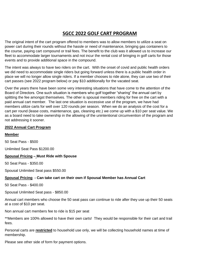# **SGCC 2022 GOLF CART PROGRAM**

The original intent of the cart program offered to members was to allow members to utilize a seat on power cart during their rounds without the hassle or need of maintenance, bringing gas containers to the course, paying cart compound or trail fees. The benefit to the club was it allowed us to increase our fleet to accommodate larger tournaments and not incur the rental cost of bringing in golf carts for those events and to provide additional space in the compound.

The intent was always to have two riders on the cart. With the onset of covid and public health orders we did need to accommodate single riders but going forward unless there is a public health order in place we will no longer allow single riders. If a member chooses to ride alone, they can use two of their cart passes (see 2022 program below) or pay \$10 additionally for the vacated seat.

Over the years there have been some very interesting situations that have come to the attention of the Board of Directors. One such situation is members who golf together "sharing" the annual cart by splitting the fee amongst themselves. The other is spousal members riding for free on the cart with a paid annual cart member. The last one situation is excessive use of the program, we have had members utilize carts for well over 120 rounds per season. When we do an analysis of the cost for a cart per round (lease costs, maintenance, gas, cleaning etc.) we come up with a \$10 per seat value. We as a board need to take ownership in the allowing of the unintentional circumvention of the program and not addressing it sooner.

#### **2022 Annual Cart Program**

#### **Member**

50 Seat Pass - \$500

Unlimited Seat Pass \$1200.00

#### **Spousal Pricing – Must Ride with Spouse**

50 Seat Pass - \$350.00

Spousal Unlimited Seat pass \$550.00

#### **Spousal Pricing - Can take cart on their own if Spousal Member has Annual Cart**

50 Seat Pass - \$400.00

Spousal Unlimited Seat pass - \$850.00

Annual cart members who choose the 50 seat pass can continue to ride after they use up their 50 seats at a cost of \$10 per seat.

Non annual cart members fee to ride is \$15 per seat

\*\*Members are 100% allowed to have their own carts! They would be responsible for their cart and trail fees.

Personal carts are **restricted** to household use only, we will be collecting household names at time of membership.

Please see other side of form for payment options.